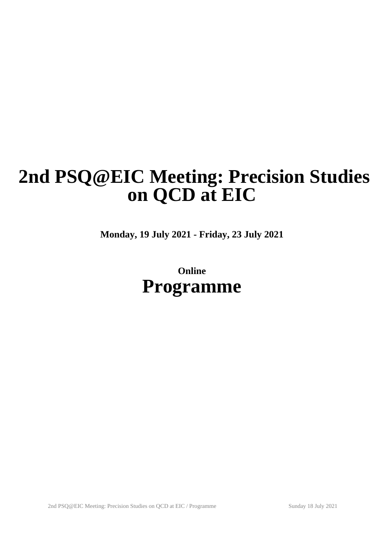# **2nd PSQ@EIC Meeting: Precision Studies on QCD at EIC**

**Monday, 19 July 2021 - Friday, 23 July 2021**

**Online Programme**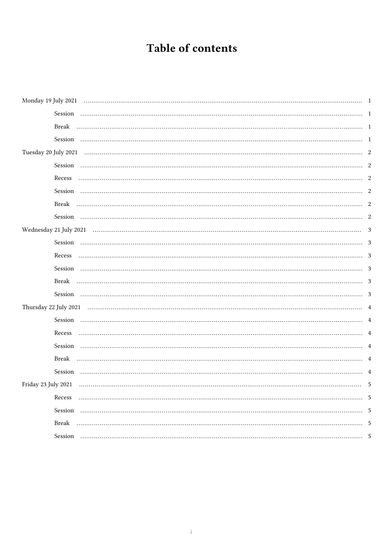# Table of contents

| Session              |   |
|----------------------|---|
| Break                |   |
| Session              |   |
| Tuesday 20 July 2021 |   |
| Session              |   |
| Recess               |   |
| Session              |   |
|                      |   |
|                      |   |
|                      |   |
|                      |   |
| Recess               |   |
|                      |   |
|                      |   |
|                      | 3 |
|                      |   |
| Session              |   |
| Recess               |   |
| Session              |   |
| Break                |   |
| Session              |   |
| Friday 23 July 2021  | 5 |
| Recess               |   |
| Session              |   |
| Break                |   |
| Session              |   |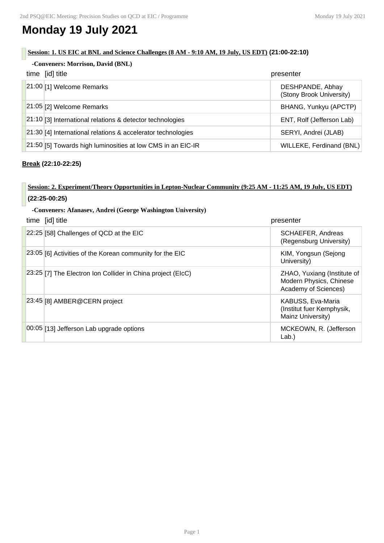# **Monday 19 July 2021**

#### **Session: 1. US EIC at BNL and Science Challenges (8 AM - 9:10 AM, 19 July, US EDT) (21:00-22:10)**

| -Conveners: Morrison, David (BNL)                             |                                              |  |
|---------------------------------------------------------------|----------------------------------------------|--|
| time [id] title                                               | presenter                                    |  |
| $21:00$ [1] Welcome Remarks                                   | DESHPANDE, Abhay<br>(Stony Brook University) |  |
| 21:05 [2] Welcome Remarks                                     | BHANG, Yunkyu (APCTP)                        |  |
| 21:10 [3] International relations & detector technologies     | ENT, Rolf (Jefferson Lab)                    |  |
| 21:30 [4] International relations & accelerator technologies  | SERYI, Andrei (JLAB)                         |  |
| $21:50$ [5] Towards high luminosities at low CMS in an EIC-IR | WILLEKE, Ferdinand (BNL)                     |  |

#### **Break (22:10-22:25)**

### **Session: 2. Experiment/Theory Opportunities in Lepton-Nuclear Community (9:25 AM - 11:25 AM, 19 July, US EDT) (22:25-00:25)**

#### **-Conveners: Afanasev, Andrei (George Washington University)**

| time [id] title                                               | presenter                                                                      |
|---------------------------------------------------------------|--------------------------------------------------------------------------------|
| 22:25 [58] Challenges of QCD at the EIC                       | SCHAEFER, Andreas<br>(Regensburg University)                                   |
| 23:05 [6] Activities of the Korean community for the EIC      | KIM, Yongsun (Sejong<br>University)                                            |
| [23:25] [7] The Electron Ion Collider in China project (EIcC) | ZHAO, Yuxiang (Institute of<br>Modern Physics, Chinese<br>Academy of Sciences) |
| 23:45 [8] AMBER@CERN project                                  | KABUSS, Eva-Maria<br>(Institut fuer Kernphysik,<br>Mainz University)           |
| 00:05 [13] Jefferson Lab upgrade options                      | MCKEOWN, R. (Jefferson<br>Lab.                                                 |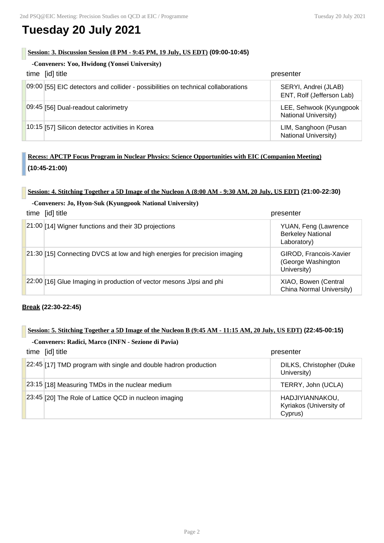# **Tuesday 20 July 2021**

#### **Session: 3. Discussion Session (8 PM - 9:45 PM, 19 July, US EDT) (09:00-10:45)**

| -Conveners: Yoo, Hwidong (Yonsei University)                                      |                                                        |
|-----------------------------------------------------------------------------------|--------------------------------------------------------|
| time [id] title                                                                   | presenter                                              |
| 09:00 [55] EIC detectors and collider - possibilities on technical collaborations | SERYI, Andrei (JLAB)<br>ENT, Rolf (Jefferson Lab)      |
| 09:45 [56] Dual-readout calorimetry                                               | LEE, Sehwook (Kyungpook<br><b>National University)</b> |
| 10:15 [57] Silicon detector activities in Korea                                   | LIM, Sanghoon (Pusan<br><b>National University)</b>    |

### **Recess: APCTP Focus Program in Nuclear Physics: Science Opportunities with EIC (Companion Meeting) (10:45-21:00)**

#### **Session: 4. Stitching Together a 5D Image of the Nucleon A (8:00 AM - 9:30 AM, 20 July, US EDT) (21:00-22:30)**

#### **-Conveners: Jo, Hyon-Suk (Kyungpook National University)**

| time [id] title |                                                                           | presenter                                                       |
|-----------------|---------------------------------------------------------------------------|-----------------------------------------------------------------|
|                 | 21:00 [14] Wigner functions and their 3D projections                      | YUAN, Feng (Lawrence<br><b>Berkeley National</b><br>Laboratory) |
|                 | 21:30 [15] Connecting DVCS at low and high energies for precision imaging | GIROD, Francois-Xavier<br>(George Washington<br>University)     |
|                 | $22:00$ [16] Glue Imaging in production of vector mesons J/psi and phi    | XIAO, Bowen (Central<br>China Normal University)                |

**Break (22:30-22:45)**

# **Session: 5. Stitching Together a 5D Image of the Nucleon B (9:45 AM - 11:15 AM, 20 July, US EDT) (22:45-00:15)**

# **-Conveners: Radici, Marco (INFN - Sezione di Pavia)** time [id] title presenter  $22:45$  [17] TMD program with single and double hadron production  $\vert$  DILKS, Christopher (Duke University) 23:15 [18] Measuring TMDs in the nuclear medium  $\vert$  TERRY, John (UCLA) 23:45 [20] The Role of Lattice QCD in nucleon imaging **HADJIYIANNAKOU**, Kyriakos (University of Cyprus)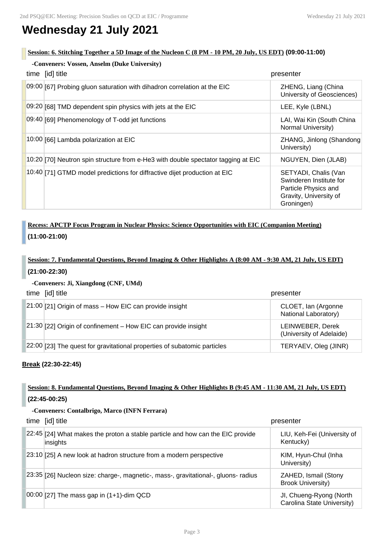# **Wednesday 21 July 2021**

#### **Session: 6. Stitching Together a 5D Image of the Nucleon C (8 PM - 10 PM, 20 July, US EDT) (09:00-11:00)**

| -Conveners: Vossen, Anselm (Duke University) |                                                                                   |                                                                                                                 |
|----------------------------------------------|-----------------------------------------------------------------------------------|-----------------------------------------------------------------------------------------------------------------|
|                                              | time [id] title                                                                   | presenter                                                                                                       |
|                                              | 09:00 [67] Probing gluon saturation with dihadron correlation at the EIC          | ZHENG, Liang (China<br>University of Geosciences)                                                               |
|                                              | 09:20 [68] TMD dependent spin physics with jets at the EIC                        | LEE, Kyle (LBNL)                                                                                                |
|                                              | 09:40 [69] Phenomenology of T-odd jet functions                                   | LAI, Wai Kin (South China<br>Normal University)                                                                 |
|                                              | 10:00 [66] Lambda polarization at EIC                                             | ZHANG, Jinlong (Shandong<br>University)                                                                         |
|                                              | 10:20 [70] Neutron spin structure from e-He3 with double spectator tagging at EIC | NGUYEN, Dien (JLAB)                                                                                             |
|                                              | 10:40 [71] GTMD model predictions for diffractive dijet production at EIC         | SETYADI, Chalis (Van<br>Swinderen Institute for<br>Particle Physics and<br>Gravity, University of<br>Groningen) |

## **Recess: APCTP Focus Program in Nuclear Physics: Science Opportunities with EIC (Companion Meeting) (11:00-21:00)**

# **Session: 7. Fundamental Questions, Beyond Imaging & Other Highlights A (8:00 AM - 9:30 AM, 21 July, US EDT) (21:00-22:30)**

#### **-Conveners: Ji, Xiangdong (CNF, UMd)**

| time [id] title                                                          | presenter                                    |
|--------------------------------------------------------------------------|----------------------------------------------|
| 21:00 [21] Origin of mass - How EIC can provide insight                  | CLOET, Ian (Argonne<br>National Laboratory)  |
| $21:30$ [22] Origin of confinement – How EIC can provide insight         | LEINWEBER, Derek<br>(University of Adelaide) |
| 22:00 [23] The quest for gravitational properties of subatomic particles | TERYAEV, Oleg (JINR)                         |

#### **Break (22:30-22:45)**

### **Session: 8. Fundamental Questions, Beyond Imaging & Other Highlights B (9:45 AM - 11:30 AM, 21 July, US EDT) (22:45-00:25)**

#### **-Conveners: Contalbrigo, Marco (INFN Ferrara)**

| time [id] title                                                                            | presenter                                             |
|--------------------------------------------------------------------------------------------|-------------------------------------------------------|
| 22:45 [24] What makes the proton a stable particle and how can the EIC provide<br>insights | LIU, Keh-Fei (University of<br>Kentucky)              |
| 23:10 [25] A new look at hadron structure from a modern perspective                        | KIM, Hyun-Chul (Inha<br>University)                   |
| 23:35 [26] Nucleon size: charge-, magnetic-, mass-, gravitational-, gluons- radius         | ZAHED, Ismail (Stony<br><b>Brook University)</b>      |
| $ 00:00 $ [27] The mass gap in (1+1)-dim QCD                                               | JI, Chueng-Ryong (North<br>Carolina State University) |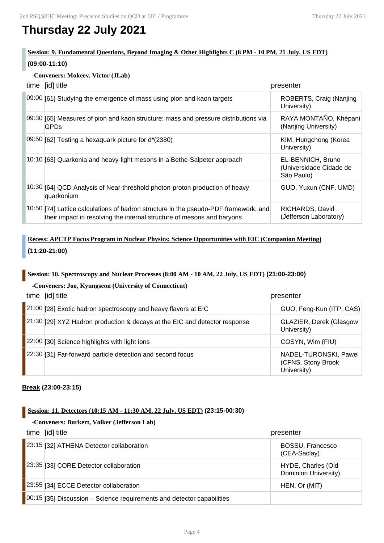# **Thursday 22 July 2021**

### **Session: 9. Fundamental Questions, Beyond Imaging & Other Highlights C (8 PM - 10 PM, 21 July, US EDT) (09:00-11:10)**

#### **-Conveners: Mokeev, Victor (JLab)**

| time [id] title                                                                                                                                                | presenter                                                  |
|----------------------------------------------------------------------------------------------------------------------------------------------------------------|------------------------------------------------------------|
| 09:00 [61] Studying the emergence of mass using pion and kaon targets                                                                                          | ROBERTS, Craig (Nanjing<br>University)                     |
| 09:30 [65] Measures of pion and kaon structure: mass and pressure distributions via<br><b>GPDs</b>                                                             | RAYA MONTAÑO, Khépani<br>(Nanjing University)              |
| 09:50 [62] Testing a hexaquark picture for d*(2380)                                                                                                            | KIM, Hungchong (Korea<br>University)                       |
| 10:10 [63] Quarkonia and heavy-light mesons in a Bethe-Salpeter approach                                                                                       | EL-BENNICH, Bruno<br>(Universidade Cidade de<br>São Paulo) |
| 10:30 [64] QCD Analysis of Near-threshold photon-proton production of heavy<br>quarkonium                                                                      | GUO, Yuxun (CNF, UMD)                                      |
| 10:50 [74] Lattice calculations of hadron structure in the pseudo-PDF framework, and<br>their impact in resolving the internal structure of mesons and baryons | RICHARDS, David<br>(Jefferson Laboratory)                  |

### **Recess: APCTP Focus Program in Nuclear Physics: Science Opportunities with EIC (Companion Meeting) (11:20-21:00)**

#### **Session: 10. Spectroscopy and Nuclear Processes (8:00 AM - 10 AM, 22 July, US EDT) (21:00-23:00)**

#### **-Conveners: Joo, Kyungseon (University of Connecticut)**

| time [id] title                                                            | presenter                                                  |
|----------------------------------------------------------------------------|------------------------------------------------------------|
| $21:00$ [28] Exotic hadron spectroscopy and heavy flavors at EIC           | GUO, Feng-Kun (ITP, CAS)                                   |
| 21:30 [29] XYZ Hadron production & decays at the EIC and detector response | GLAZIER, Derek (Glasgow<br>University)                     |
| 22:00 [30] Science highlights with light ions                              | COSYN, Wim (FIU)                                           |
| 22:30 [31] Far-forward particle detection and second focus                 | NADEL-TURONSKI, Pawel<br>(CFNS, Stony Brook<br>University) |

#### **Break (23:00-23:15)**

#### **Session: 11. Detectors (10:15 AM - 11:30 AM, 22 July, US EDT) (23:15-00:30)**

#### **-Conveners: Burkert, Volker (Jefferson Lab)**

| time [id] title                                                        | presenter                                  |
|------------------------------------------------------------------------|--------------------------------------------|
| 23:15 [32] ATHENA Detector collaboration                               | BOSSU, Francesco<br>(CEA-Saclay)           |
| 23:35 33] CORE Detector collaboration                                  | HYDE, Charles (Old<br>Dominion University) |
| 23:55 [34] ECCE Detector collaboration                                 | HEN, Or (MIT)                              |
| 00:15 [35] Discussion - Science requirements and detector capabilities |                                            |